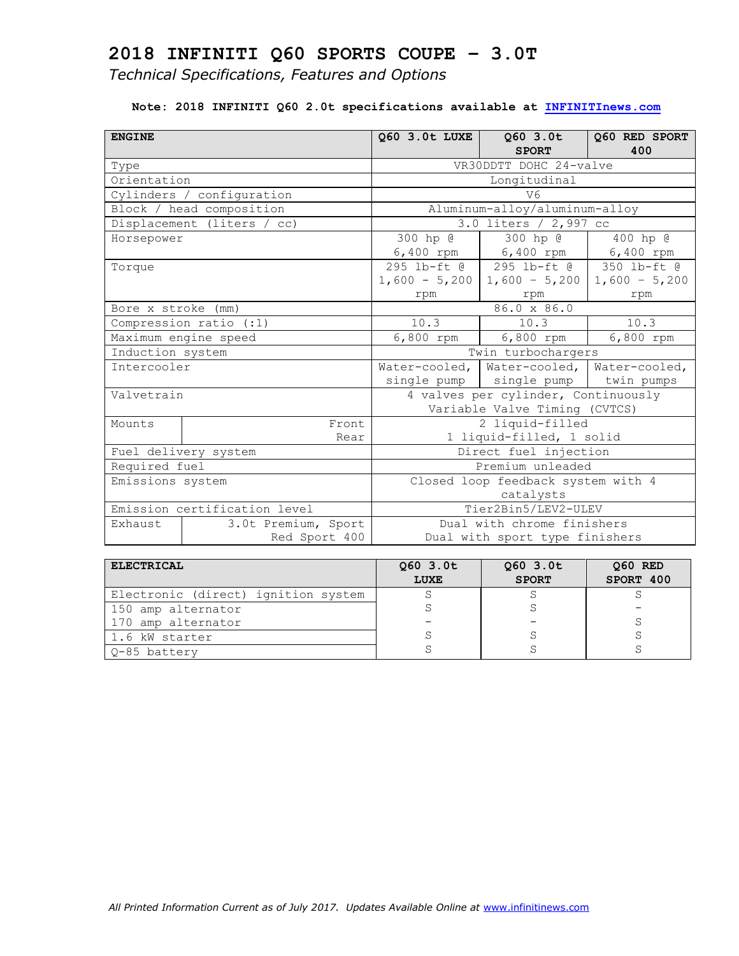*Technical Specifications, Features and Options*

#### **Note: 2018 INFINITI Q60 2.0t specifications available at [INFINITInews.com](http://www.infinitinews.com/)**

| <b>ENGINE</b>            |                              | 060 3.0t LUXE                       | $Q60$ 3.0t<br><b>SPORT</b>     | Q60 RED SPORT<br>400          |  |
|--------------------------|------------------------------|-------------------------------------|--------------------------------|-------------------------------|--|
| Type                     |                              |                                     | VR30DDTT DOHC 24-valve         |                               |  |
| Orientation              |                              |                                     | Longitudinal                   |                               |  |
|                          | Cylinders / configuration    |                                     | V6                             |                               |  |
|                          | Block / head composition     |                                     | Aluminum-alloy/aluminum-alloy  |                               |  |
|                          | Displacement (liters / cc)   |                                     | $3.0$ liters / 2,997 cc        |                               |  |
| Horsepower               |                              | 300 hp @                            | 300 hp @                       | 400 hp @                      |  |
|                          |                              |                                     | $6,400$ rpm   $6,400$ rpm      | 6,400 rpm                     |  |
| Torque                   |                              |                                     | 295 lb-ft @ 295 lb-ft @        | $350$ lb-ft $\theta$          |  |
|                          |                              |                                     | $1,600 - 5,200$ 1,600 - 5,200  | $1,600 - 5,200$               |  |
|                          |                              | rpm                                 | rpm                            | rpm                           |  |
| Bore x stroke (mm)       |                              |                                     | 86.0 x 86.0                    |                               |  |
| Compression ratio $(:1)$ |                              | 10.3                                | 10.3                           | 10.3                          |  |
|                          | Maximum engine speed         | $6,800$ rpm                         | 6,800 rpm                      | 6,800 rpm                     |  |
| Induction system         |                              | Twin turbochargers                  |                                |                               |  |
| Intercooler              |                              |                                     | Water-cooled, Water-cooled,    | Water-cooled,                 |  |
|                          |                              |                                     | single pump   single pump      | twin pumps                    |  |
| Valvetrain               |                              | 4 valves per cylinder, Continuously |                                |                               |  |
|                          |                              |                                     |                                | Variable Valve Timing (CVTCS) |  |
| Mounts                   | Front                        |                                     | 2 liquid-filled                |                               |  |
|                          | Rear                         |                                     | 1 liquid-filled, 1 solid       |                               |  |
|                          | Fuel delivery system         | Direct fuel injection               |                                |                               |  |
| Required fuel            |                              | Premium unleaded                    |                                |                               |  |
| Emissions system         |                              | Closed loop feedback system with 4  |                                |                               |  |
|                          |                              |                                     | catalysts                      |                               |  |
|                          | Emission certification level |                                     | Tier2Bin5/LEV2-ULEV            |                               |  |
| Exhaust                  | 3.0t Premium, Sport          |                                     | Dual with chrome finishers     |                               |  |
|                          | Red Sport 400                |                                     | Dual with sport type finishers |                               |  |

| <b>ELECTRICAL</b>                   | $Q60$ 3.0t<br>LUXE | 060 3.0t<br><b>SPORT</b> | 060 RED<br>SPORT 400 |
|-------------------------------------|--------------------|--------------------------|----------------------|
| Electronic (direct) ignition system |                    |                          |                      |
| 150 amp alternator                  |                    |                          |                      |
| 170 amp alternator                  |                    |                          |                      |
| 1.6 kW starter                      |                    |                          |                      |
| Q-85 battery                        |                    |                          |                      |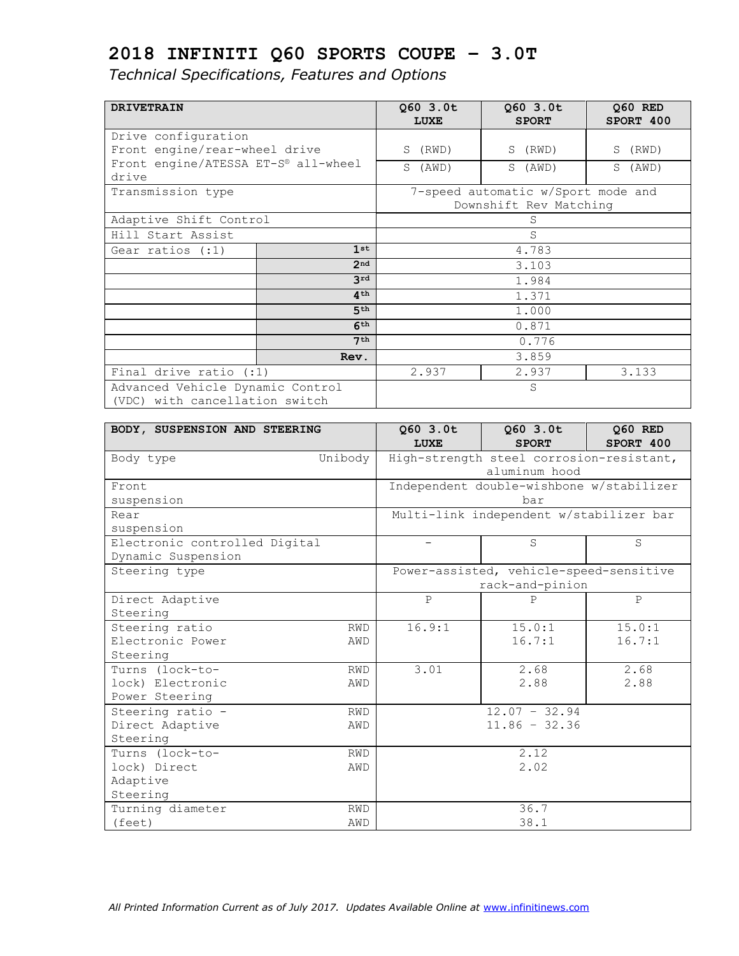| <b>DRIVETRAIN</b>                            |                 | 060 3.0t    | $Q60$ 3.0t                         | Q60 RED    |  |
|----------------------------------------------|-----------------|-------------|------------------------------------|------------|--|
|                                              |                 | <b>LUXE</b> | <b>SPORT</b>                       | SPORT 400  |  |
| Drive configuration                          |                 |             |                                    |            |  |
| Front engine/rear-wheel drive                |                 | S.<br>(RWD) | S (RWD)                            | S (RWD)    |  |
| Front engine/ATESSA ET-S® all-wheel<br>drive |                 | S.<br>(AWD) | S (AWD)                            | S<br>(AWD) |  |
| Transmission type                            |                 |             | 7-speed automatic w/Sport mode and |            |  |
|                                              |                 |             | Downshift Rev Matching             |            |  |
| Adaptive Shift Control                       |                 |             | S                                  |            |  |
| Hill Start Assist                            |                 |             | S                                  |            |  |
| Gear ratios (:1)                             | 1st             |             | 4.783                              |            |  |
|                                              | 2 <sub>nd</sub> |             | 3.103                              |            |  |
|                                              | 3rd             | 1.984       |                                    |            |  |
|                                              | 4 <sup>th</sup> | 1.371       |                                    |            |  |
|                                              | 5 <sup>th</sup> | 1.000       |                                    |            |  |
|                                              | 6 <sup>th</sup> | 0.871       |                                    |            |  |
| 7 <sup>th</sup>                              |                 | 0.776       |                                    |            |  |
|                                              | Rev.            |             | 3.859                              |            |  |
| Final drive ratio $( : 1)$                   |                 | 2.937       | 2.937                              | 3.133      |  |
| Advanced Vehicle Dynamic Control             |                 |             | S                                  |            |  |
| (VDC) with cancellation switch               |                 |             |                                    |            |  |

| BODY, SUSPENSION AND STEERING |            | Q60 3.0t<br>LUXE | Q60 3.0t<br><b>SPORT</b>                 | Q60 RED<br>SPORT 400 |
|-------------------------------|------------|------------------|------------------------------------------|----------------------|
| Body type                     | Unibody    |                  | High-strength steel corrosion-resistant, |                      |
|                               |            |                  | aluminum hood                            |                      |
| Front                         |            |                  | Independent double-wishbone w/stabilizer |                      |
| suspension                    |            |                  | bar                                      |                      |
| Rear                          |            |                  | Multi-link independent w/stabilizer bar  |                      |
| suspension                    |            |                  |                                          |                      |
| Electronic controlled Digital |            |                  | S                                        | S                    |
| Dynamic Suspension            |            |                  |                                          |                      |
| Steering type                 |            |                  | Power-assisted, vehicle-speed-sensitive  |                      |
|                               |            |                  | rack-and-pinion                          |                      |
| Direct Adaptive               |            | $\mathbf{P}$     | P                                        | $\mathbf{P}$         |
| Steering                      |            |                  |                                          |                      |
| Steering ratio                | <b>RWD</b> | 16.9:1           | 15.0:1                                   | 15.0:1               |
| Electronic Power              | AWD        |                  | 16.7:1                                   | 16.7:1               |
| Steering                      |            |                  |                                          |                      |
| Turns (lock-to-               | <b>RWD</b> | 3.01             | 2.68                                     | 2.68                 |
| lock) Electronic              | AWD        |                  | 2.88                                     | 2.88                 |
| Power Steering                |            |                  |                                          |                      |
| Steering ratio -              | <b>RWD</b> |                  | $12.07 - 32.94$                          |                      |
| Direct Adaptive               | AWD        |                  | $11.86 - 32.36$                          |                      |
| Steering                      |            |                  |                                          |                      |
| Turns (lock-to-<br><b>RWD</b> |            |                  | 2.12                                     |                      |
| lock) Direct                  | AWD        |                  | 2.02                                     |                      |
| Adaptive                      |            |                  |                                          |                      |
| Steering                      |            |                  |                                          |                      |
| Turning diameter              | <b>RWD</b> |                  | 36.7                                     |                      |
| (feet)                        | AWD        |                  | 38.1                                     |                      |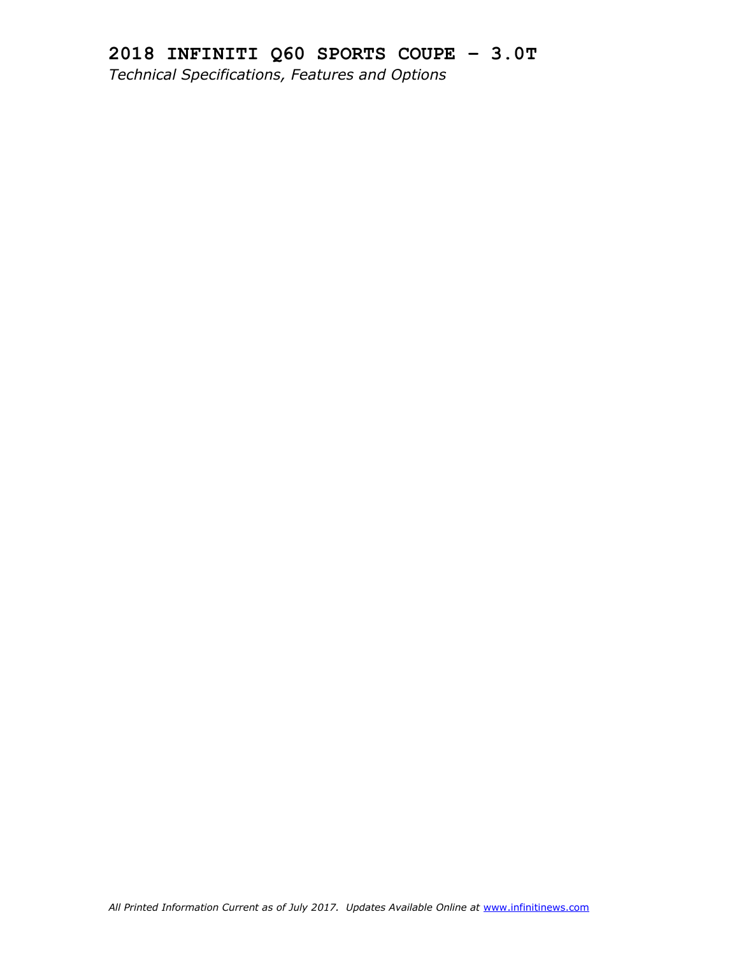## **2018 INFINITI Q60 SPORTS COUPE – 3.0T** *Technical Specifications, Features and Options*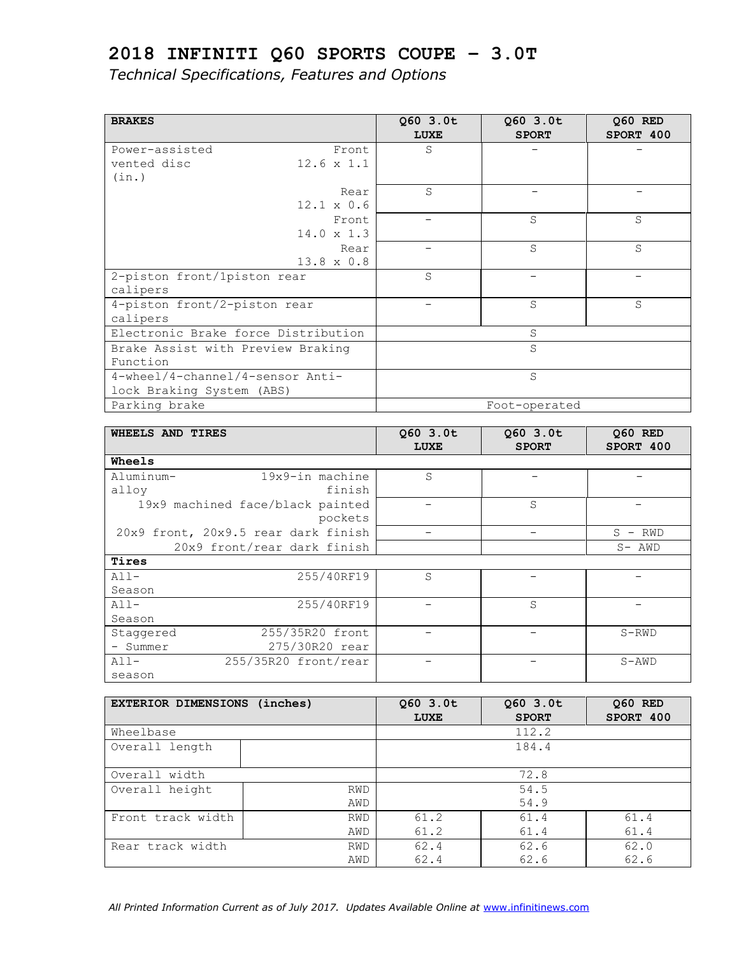| <b>BRAKES</b>                       |                   | $Q60$ 3.0t<br><b>LUXE</b> | $Q60$ 3.0t<br><b>SPORT</b> | 060 RED<br>SPORT 400 |
|-------------------------------------|-------------------|---------------------------|----------------------------|----------------------|
| Power-assisted                      | Front             | S                         |                            |                      |
| vented disc                         | $12.6 \times 1.1$ |                           |                            |                      |
| (in.)                               |                   |                           |                            |                      |
|                                     | Rear              | S                         |                            |                      |
|                                     | $12.1 \times 0.6$ |                           |                            |                      |
|                                     | Front             |                           | S                          | S                    |
|                                     | $14.0 \times 1.3$ |                           |                            |                      |
|                                     | Rear              |                           | S                          | S                    |
|                                     | 13.8 x 0.8        |                           |                            |                      |
| 2-piston front/1piston rear         |                   | S                         |                            |                      |
| calipers                            |                   |                           |                            |                      |
| 4-piston front/2-piston rear        |                   |                           | S                          | S                    |
| calipers                            |                   |                           |                            |                      |
| Electronic Brake force Distribution |                   |                           | S                          |                      |
| Brake Assist with Preview Braking   |                   |                           | S                          |                      |
| Function                            |                   |                           |                            |                      |
| 4-wheel/4-channel/4-sensor Anti-    |                   |                           | S                          |                      |
| lock Braking System (ABS)           |                   |                           |                            |                      |
| Parking brake                       |                   |                           | Foot-operated              |                      |

| WHEELS AND TIRES |                                     | $Q60$ 3.0t<br>LUXE | 060 3.0t<br><b>SPORT</b> | 060 RED<br>SPORT 400 |
|------------------|-------------------------------------|--------------------|--------------------------|----------------------|
| <b>Wheels</b>    |                                     |                    |                          |                      |
| Aluminum-        | 19x9-in machine                     | S                  |                          |                      |
| alloy            | finish                              |                    |                          |                      |
|                  | 19x9 machined face/black painted    |                    | S                        |                      |
|                  | pockets                             |                    |                          |                      |
|                  | 20x9 front, 20x9.5 rear dark finish |                    |                          | S.<br>RWD<br>$-$     |
|                  | 20x9 front/rear dark finish         |                    |                          | $S-$ AWD             |
| Tires            |                                     |                    |                          |                      |
| $A11-$           | 255/40RF19                          | S                  |                          |                      |
| Season           |                                     |                    |                          |                      |
| $A11-$           | 255/40RF19                          |                    | S                        |                      |
| Season           |                                     |                    |                          |                      |
| Staggered        | 255/35R20 front                     |                    |                          | S-RWD                |
| - Summer         | 275/30R20 rear                      |                    |                          |                      |
| $A11-$           | 255/35R20 front/rear                |                    |                          | $S-AND$              |
| season           |                                     |                    |                          |                      |

| EXTERIOR DIMENSIONS (inches) |            | $Q60$ 3.0t<br>LUXE | 060 3.0t<br><b>SPORT</b> | 060 RED<br>SPORT 400 |  |
|------------------------------|------------|--------------------|--------------------------|----------------------|--|
| Wheelbase                    |            |                    | 112.2                    |                      |  |
| Overall length               |            |                    | 184.4                    |                      |  |
|                              |            |                    |                          |                      |  |
| Overall width                |            | 72.8               |                          |                      |  |
| Overall height               | <b>RWD</b> |                    | 54.5                     |                      |  |
|                              | AWD        |                    | 54.9                     |                      |  |
| Front track width            | <b>RWD</b> | 61.2               | 61.4                     | 61.4                 |  |
|                              | AWD        | 61.2               | 61.4                     | 61.4                 |  |
| Rear track width             | <b>RWD</b> | 62.4               | 62.6                     | 62.0                 |  |
|                              | AWD        | 62.4               | 62.6                     | 62.6                 |  |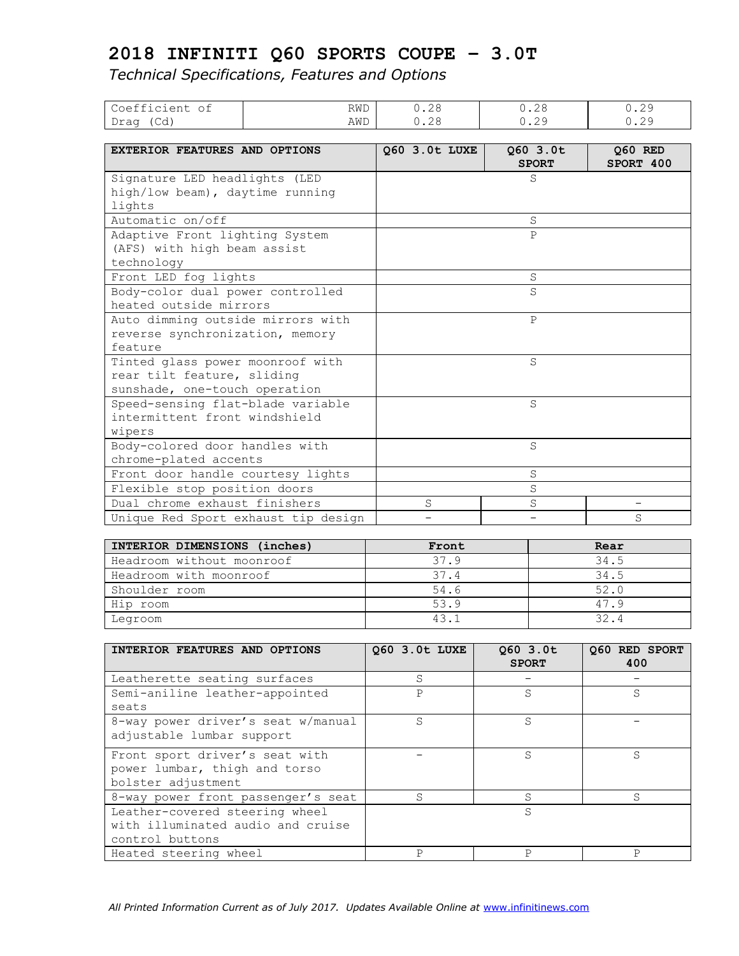| Coefficient of                      | RWD | 0.28          | 0.28                     | 0.29                 |
|-------------------------------------|-----|---------------|--------------------------|----------------------|
| Drag (Cd)                           | AWD | 0.28          | 0.29                     | 0.29                 |
|                                     |     |               |                          |                      |
| EXTERIOR FEATURES AND OPTIONS       |     | Q60 3.0t LUXE | Q60 3.0t<br><b>SPORT</b> | 060 RED<br>SPORT 400 |
|                                     |     |               |                          |                      |
| Signature LED headlights (LED       |     |               | S                        |                      |
| high/low beam), daytime running     |     |               |                          |                      |
| lights                              |     |               |                          |                      |
| Automatic on/off                    |     |               | S                        |                      |
| Adaptive Front lighting System      |     |               | $\mathsf{P}$             |                      |
| (AFS) with high beam assist         |     |               |                          |                      |
| technology                          |     |               |                          |                      |
| Front LED fog lights                |     |               | S                        |                      |
| Body-color dual power controlled    |     |               | S                        |                      |
| heated outside mirrors              |     |               |                          |                      |
| Auto dimming outside mirrors with   |     |               | $\mathsf{P}$             |                      |
| reverse synchronization, memory     |     |               |                          |                      |
| feature                             |     |               |                          |                      |
| Tinted glass power moonroof with    |     |               | S                        |                      |
| rear tilt feature, sliding          |     |               |                          |                      |
| sunshade, one-touch operation       |     |               |                          |                      |
| Speed-sensing flat-blade variable   |     |               | S                        |                      |
| intermittent front windshield       |     |               |                          |                      |
| wipers                              |     |               |                          |                      |
| Body-colored door handles with      |     |               | S                        |                      |
| chrome-plated accents               |     |               |                          |                      |
| Front door handle courtesy lights   |     |               | S                        |                      |
| Flexible stop position doors        |     |               | S                        |                      |
| Dual chrome exhaust finishers       |     | S             | S                        | -                    |
| Unique Red Sport exhaust tip design |     |               |                          | S                    |

| INTERIOR DIMENSIONS (inches) | Front | Rear |
|------------------------------|-------|------|
| Headroom without moonroof    | 37.9  | 34.5 |
| Headroom with moonroof       | 37.4  | 34.5 |
| Shoulder room                | 54.6  | 52.0 |
| Hip room                     | 53.9  | 47.9 |
| Legroom                      | 43.1  | 32.4 |

| INTERIOR FEATURES AND OPTIONS                                                          | 060 3.0t LUXE | 060 3.0t<br><b>SPORT</b> | 060 RED SPORT<br>400 |
|----------------------------------------------------------------------------------------|---------------|--------------------------|----------------------|
| Leatherette seating surfaces                                                           | S             |                          |                      |
| Semi-aniline leather-appointed<br>seats                                                | Ρ             | S.                       | S                    |
| 8-way power driver's seat w/manual<br>adjustable lumbar support                        | S             | S                        |                      |
| Front sport driver's seat with<br>power lumbar, thigh and torso<br>bolster adjustment  |               | S.                       | S                    |
| 8-way power front passenger's seat                                                     | S             | S                        | S                    |
| Leather-covered steering wheel<br>with illuminated audio and cruise<br>control buttons |               | S                        |                      |
| Heated steering wheel                                                                  | P             | Ρ                        | Ρ                    |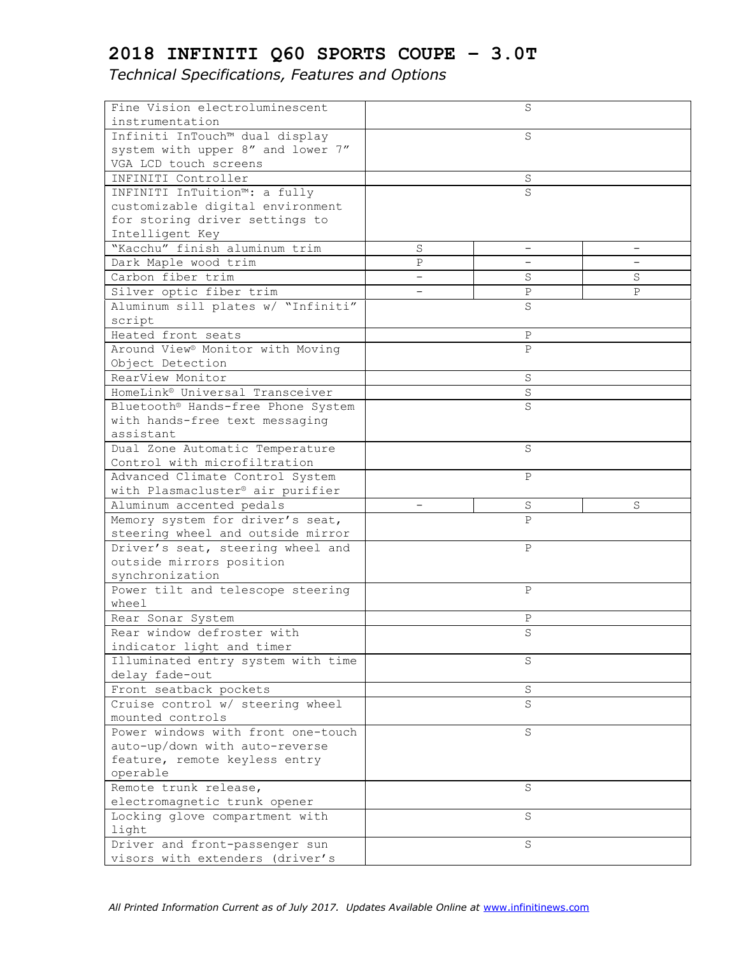| Fine Vision electroluminescent                                    |                          | S            |                          |
|-------------------------------------------------------------------|--------------------------|--------------|--------------------------|
| instrumentation                                                   |                          |              |                          |
| Infiniti InTouch™ dual display                                    |                          | S            |                          |
| system with upper 8" and lower 7"                                 |                          |              |                          |
| VGA LCD touch screens                                             |                          |              |                          |
| INFINITI Controller                                               |                          | S            |                          |
| INFINITI InTuition™: a fully                                      |                          | S            |                          |
| customizable digital environment                                  |                          |              |                          |
| for storing driver settings to                                    |                          |              |                          |
| Intelligent Key                                                   |                          |              |                          |
| "Kacchu" finish aluminum trim                                     | $\rm S$                  | —            | $\overline{\phantom{m}}$ |
| Dark Maple wood trim                                              | $\mathbf P$              |              |                          |
| Carbon fiber trim                                                 | $\overline{\phantom{0}}$ | S            | S                        |
| Silver optic fiber trim                                           |                          | $\, {\bf P}$ | P                        |
| Aluminum sill plates w/ "Infiniti"                                |                          | S            |                          |
| script                                                            |                          |              |                          |
| Heated front seats                                                |                          | $\, {\bf P}$ |                          |
| Around View <sup>®</sup> Monitor with Moving                      |                          | $\mathsf{P}$ |                          |
| Object Detection                                                  |                          |              |                          |
| RearView Monitor                                                  |                          | S            |                          |
| HomeLink® Universal Transceiver                                   |                          | S            |                          |
| Bluetooth® Hands-free Phone System                                |                          | S            |                          |
| with hands-free text messaging                                    |                          |              |                          |
| assistant                                                         |                          |              |                          |
| Dual Zone Automatic Temperature                                   |                          | S            |                          |
| Control with microfiltration                                      |                          |              |                          |
| Advanced Climate Control System                                   |                          | Ρ            |                          |
| with Plasmacluster® air purifier                                  |                          |              |                          |
| Aluminum accented pedals                                          |                          | S            | S                        |
| Memory system for driver's seat,                                  |                          | P            |                          |
| steering wheel and outside mirror                                 |                          |              |                          |
| Driver's seat, steering wheel and                                 |                          | Ρ            |                          |
| outside mirrors position                                          |                          |              |                          |
| synchronization                                                   |                          |              |                          |
| Power tilt and telescope steering                                 |                          | P            |                          |
| wheel                                                             |                          |              |                          |
| Rear Sonar System                                                 |                          | $\, {\bf P}$ |                          |
|                                                                   |                          | S            |                          |
| Rear window defroster with<br>indicator light and timer           |                          |              |                          |
| Illuminated entry system with time                                |                          | S            |                          |
| delay fade-out                                                    |                          |              |                          |
| Front seatback pockets                                            |                          | S            |                          |
| Cruise control w/ steering wheel                                  |                          | S            |                          |
|                                                                   |                          |              |                          |
| mounted controls                                                  |                          |              |                          |
| Power windows with front one-touch                                |                          | $\rm S$      |                          |
| auto-up/down with auto-reverse<br>feature, remote keyless entry   |                          |              |                          |
| operable                                                          |                          |              |                          |
| Remote trunk release,                                             |                          | S            |                          |
|                                                                   |                          |              |                          |
| electromagnetic trunk opener                                      |                          | S            |                          |
| Locking glove compartment with                                    |                          |              |                          |
| light                                                             |                          |              |                          |
|                                                                   |                          |              |                          |
| Driver and front-passenger sun<br>visors with extenders (driver's |                          | S            |                          |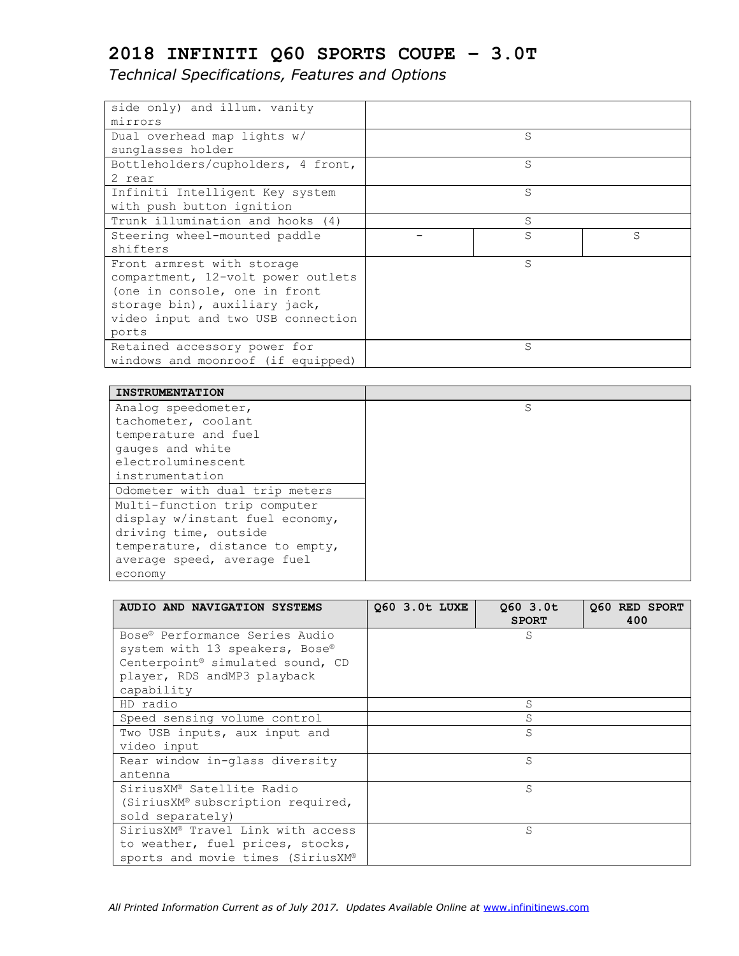| side only) and illum. vanity       |    |    |
|------------------------------------|----|----|
| mirrors                            |    |    |
| Dual overhead map lights w/        | S. |    |
| sunglasses holder                  |    |    |
| Bottleholders/cupholders, 4 front, | S  |    |
| 2 rear                             |    |    |
| Infiniti Intelligent Key system    | S  |    |
| with push button ignition          |    |    |
| Trunk illumination and hooks (4)   | S  |    |
| Steering wheel-mounted paddle      | S  | S. |
| shifters                           |    |    |
| Front armrest with storage         | S  |    |
| compartment, 12-volt power outlets |    |    |
| (one in console, one in front      |    |    |
| storage bin), auxiliary jack,      |    |    |
| video input and two USB connection |    |    |
| ports                              |    |    |
| Retained accessory power for       | S  |    |
| windows and moonroof (if equipped) |    |    |

| <b>INSTRUMENTATION</b>          |   |
|---------------------------------|---|
| Analog speedometer,             | S |
| tachometer, coolant             |   |
| temperature and fuel            |   |
| gauges and white                |   |
| electroluminescent              |   |
| instrumentation                 |   |
| Odometer with dual trip meters  |   |
| Multi-function trip computer    |   |
| display w/instant fuel economy, |   |
| driving time, outside           |   |
| temperature, distance to empty, |   |
| average speed, average fuel     |   |
| economy                         |   |

| AUDIO AND NAVIGATION SYSTEMS                 | 060 3.0t LUXE | 060 3.0t<br><b>SPORT</b> | Q60 RED SPORT<br>400 |
|----------------------------------------------|---------------|--------------------------|----------------------|
| Bose® Performance Series Audio               |               | S                        |                      |
| system with 13 speakers, Bose®               |               |                          |                      |
| Centerpoint <sup>®</sup> simulated sound, CD |               |                          |                      |
| player, RDS andMP3 playback<br>capability    |               |                          |                      |
| HD radio                                     |               | S                        |                      |
| Speed sensing volume control                 |               | S                        |                      |
| Two USB inputs, aux input and                |               | S                        |                      |
| video input                                  |               |                          |                      |
| Rear window in-glass diversity               |               | S                        |                      |
| antenna                                      |               |                          |                      |
| SiriusXM® Satellite Radio                    |               | S                        |                      |
| (SiriusXM® subscription required,            |               |                          |                      |
| sold separately)                             |               |                          |                      |
| SiriusXM® Travel Link with access            |               | S                        |                      |
| to weather, fuel prices, stocks,             |               |                          |                      |
| sports and movie times (SiriusXM®            |               |                          |                      |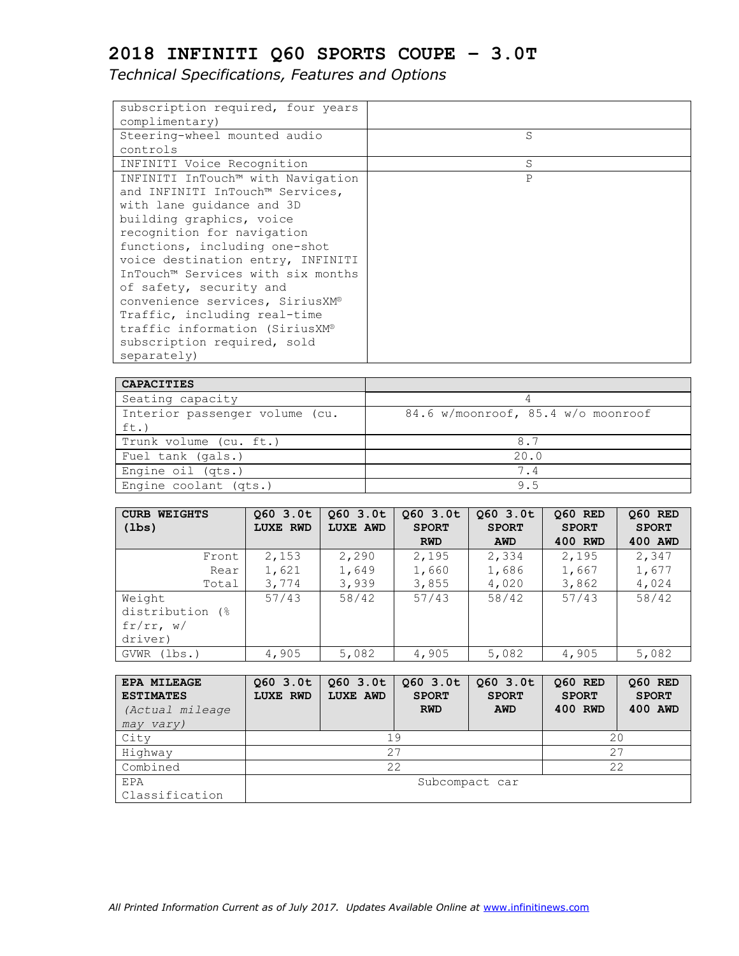| subscription required, four years |   |
|-----------------------------------|---|
| complimentary)                    |   |
| Steering-wheel mounted audio      | S |
| controls                          |   |
| INFINITI Voice Recognition        | S |
| INFINITI InTouch™ with Navigation | P |
| and INFINITI InTouch™ Services,   |   |
| with lane quidance and 3D         |   |
| building graphics, voice          |   |
| recognition for navigation        |   |
| functions, including one-shot     |   |
| voice destination entry, INFINITI |   |
| InTouch™ Services with six months |   |
| of safety, security and           |   |
| convenience services, SiriusXM®   |   |
| Traffic, including real-time      |   |
| traffic information (SiriusXM®    |   |
| subscription required, sold       |   |
| separately)                       |   |

| <b>CAPACITIES</b>              |                                    |
|--------------------------------|------------------------------------|
| Seating capacity               |                                    |
| Interior passenger volume (cu. | 84.6 w/moonroof, 85.4 w/o moonroof |
| ft.)                           |                                    |
| Trunk volume (cu. ft.)         | 8.7                                |
| Fuel tank (gals.)              | 20.0                               |
| Engine oil (qts.)              | 7 4                                |
| Engine coolant (qts.)          | 95                                 |

| <b>CURB WEIGHTS</b> | 060 3.0t | 060 3.0t        | 060 3.0t     | 060 3.0t     | <b>060 RED</b> | Q60 RED      |
|---------------------|----------|-----------------|--------------|--------------|----------------|--------------|
| $(\text{lbs})$      | LUXE RWD | <b>LUXE AWD</b> | <b>SPORT</b> | <b>SPORT</b> | <b>SPORT</b>   | <b>SPORT</b> |
|                     |          |                 | <b>RWD</b>   | AWD          | 400 RWD        | 400 AWD      |
| Front               | 2,153    | 2,290           | 2,195        | 2,334        | 2,195          | 2,347        |
| Rear                | 1,621    | 1,649           | 1,660        | 1,686        | 1,667          | 1,677        |
| Total               | 3,774    | 3,939           | 3,855        | 4,020        | 3,862          | 4,024        |
| Weight              | 57/43    | 58/42           | 57/43        | 58/42        | 57/43          | 58/42        |
| distribution (%)    |          |                 |              |              |                |              |
| fr/rr, w/           |          |                 |              |              |                |              |
| driver)             |          |                 |              |              |                |              |
| GVWR (lbs.)         | 4,905    | 5,082           | 4,905        | 5,082        | 4,905          | 5,082        |

| <b>EPA MILEAGE</b><br><b>ESTIMATES</b><br>(Actual mileage)<br>may vary) | 060 3.0t<br><b>LUXE RWD</b> | 060 3.0t<br><b>LUXE AWD</b> | 060 3.0t<br><b>SPORT</b><br><b>RWD</b> | 060 3.0t<br><b>SPORT</b><br><b>AWD</b> | <b>Q60 RED</b><br><b>SPORT</b><br>400 RWD | Q60 RED<br><b>SPORT</b><br>400 AWD |
|-------------------------------------------------------------------------|-----------------------------|-----------------------------|----------------------------------------|----------------------------------------|-------------------------------------------|------------------------------------|
| City                                                                    | 20<br>19                    |                             |                                        |                                        |                                           |                                    |
| Highway                                                                 | 27<br>27                    |                             |                                        |                                        |                                           |                                    |
| Combined                                                                | 22<br>22                    |                             |                                        |                                        |                                           |                                    |
| <b>EPA</b>                                                              | Subcompact car              |                             |                                        |                                        |                                           |                                    |
| Classification                                                          |                             |                             |                                        |                                        |                                           |                                    |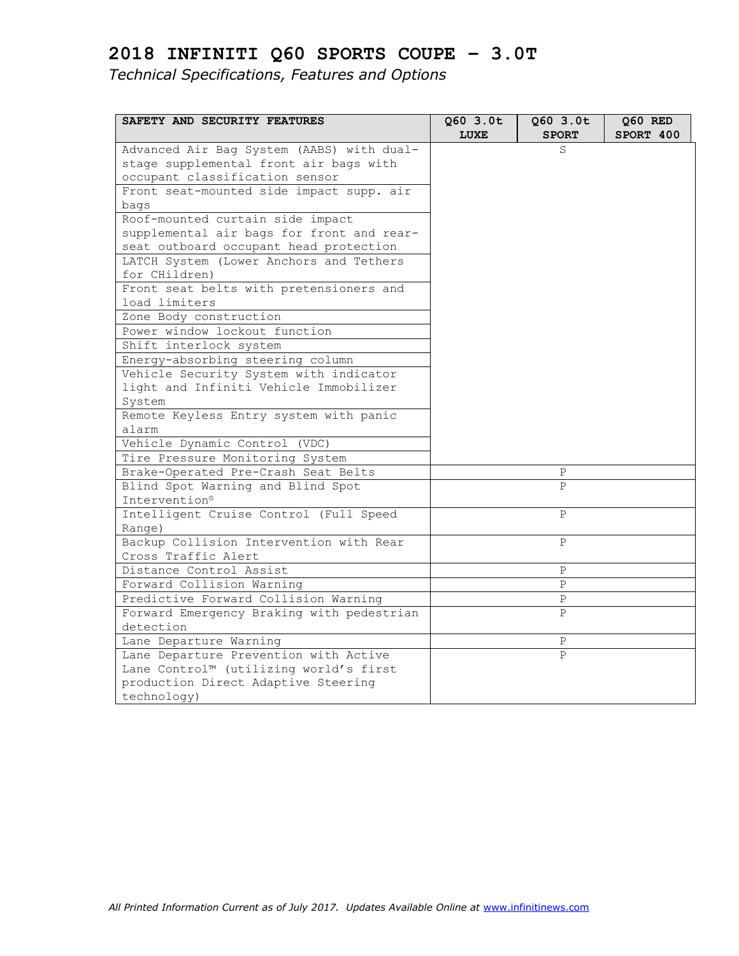| SAFETY AND SECURITY FEATURES              | Q60 3.0t<br>LUXE | $Q60$ 3.0t<br><b>SPORT</b> | Q60 RED<br>SPORT 400 |
|-------------------------------------------|------------------|----------------------------|----------------------|
| Advanced Air Bag System (AABS) with dual- |                  | S                          |                      |
| stage supplemental front air bags with    |                  |                            |                      |
| occupant classification sensor            |                  |                            |                      |
| Front seat-mounted side impact supp. air  |                  |                            |                      |
| bags                                      |                  |                            |                      |
| Roof-mounted curtain side impact          |                  |                            |                      |
| supplemental air bags for front and rear- |                  |                            |                      |
| seat outboard occupant head protection    |                  |                            |                      |
| LATCH System (Lower Anchors and Tethers   |                  |                            |                      |
| for CHildren)                             |                  |                            |                      |
| Front seat belts with pretensioners and   |                  |                            |                      |
| load limiters                             |                  |                            |                      |
| Zone Body construction                    |                  |                            |                      |
| Power window lockout function             |                  |                            |                      |
| Shift interlock system                    |                  |                            |                      |
| Energy-absorbing steering column          |                  |                            |                      |
| Vehicle Security System with indicator    |                  |                            |                      |
| light and Infiniti Vehicle Immobilizer    |                  |                            |                      |
| System                                    |                  |                            |                      |
| Remote Keyless Entry system with panic    |                  |                            |                      |
| alarm                                     |                  |                            |                      |
| Vehicle Dynamic Control (VDC)             |                  |                            |                      |
| Tire Pressure Monitoring System           |                  |                            |                      |
| Brake-Operated Pre-Crash Seat Belts       |                  | Ρ                          |                      |
| Blind Spot Warning and Blind Spot         |                  | $\mathsf{P}$               |                      |
| Intervention®                             |                  |                            |                      |
| Intelligent Cruise Control (Full Speed    |                  | $\mathsf{P}$               |                      |
| Range)                                    |                  |                            |                      |
| Backup Collision Intervention with Rear   |                  | $\mathsf{P}$               |                      |
| Cross Traffic Alert                       |                  |                            |                      |
| Distance Control Assist                   |                  | $\, {\bf P}$               |                      |
| Forward Collision Warning                 |                  | Ρ                          |                      |
| Predictive Forward Collision Warning      |                  | P                          |                      |
| Forward Emergency Braking with pedestrian |                  | P                          |                      |
| detection                                 |                  |                            |                      |
| Lane Departure Warning                    |                  | Ρ                          |                      |
| Lane Departure Prevention with Active     |                  | P                          |                      |
| Lane Control™ (utilizing world's first    |                  |                            |                      |
| production Direct Adaptive Steering       |                  |                            |                      |
| technology)                               |                  |                            |                      |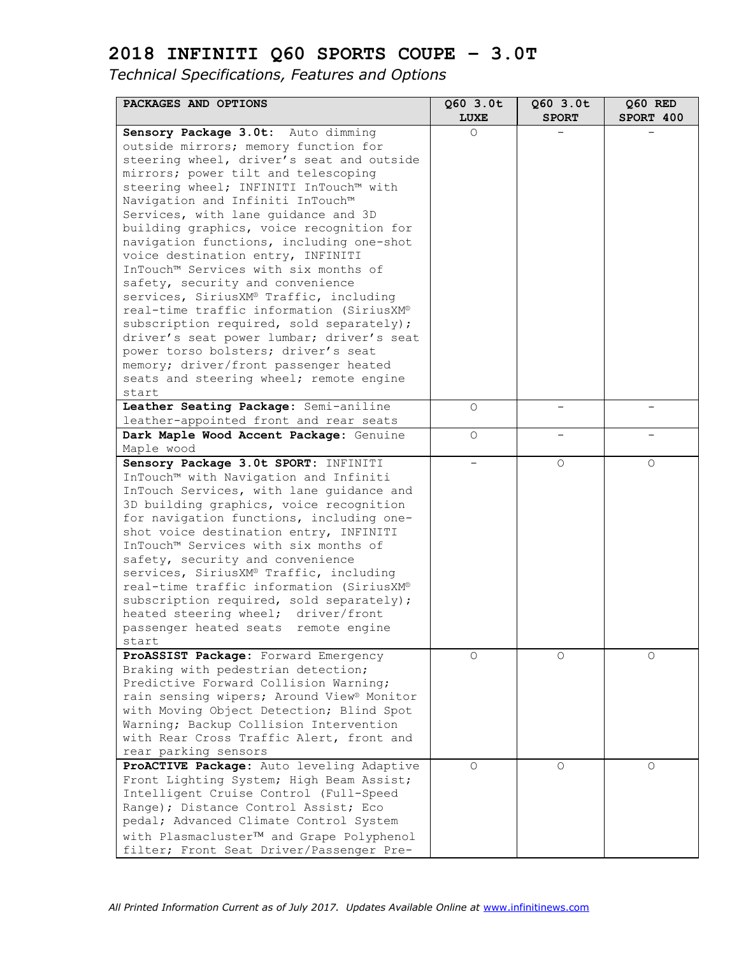| PACKAGES AND OPTIONS                                                                 | $Q60$ 3.0t  | 060 3.0t     | Q60 RED   |
|--------------------------------------------------------------------------------------|-------------|--------------|-----------|
|                                                                                      | <b>LUXE</b> | <b>SPORT</b> | SPORT 400 |
| Sensory Package 3.0t: Auto dimming                                                   | $\Omega$    |              |           |
| outside mirrors; memory function for                                                 |             |              |           |
| steering wheel, driver's seat and outside                                            |             |              |           |
| mirrors; power tilt and telescoping                                                  |             |              |           |
| steering wheel; INFINITI InTouch™ with                                               |             |              |           |
| Navigation and Infiniti InTouch™                                                     |             |              |           |
| Services, with lane guidance and 3D                                                  |             |              |           |
| building graphics, voice recognition for<br>navigation functions, including one-shot |             |              |           |
| voice destination entry, INFINITI                                                    |             |              |           |
| InTouch™ Services with six months of                                                 |             |              |           |
| safety, security and convenience                                                     |             |              |           |
| services, SiriusXM® Traffic, including                                               |             |              |           |
| real-time traffic information (SiriusXM®                                             |             |              |           |
| subscription required, sold separately);                                             |             |              |           |
| driver's seat power lumbar; driver's seat                                            |             |              |           |
| power torso bolsters; driver's seat                                                  |             |              |           |
| memory; driver/front passenger heated                                                |             |              |           |
| seats and steering wheel; remote engine                                              |             |              |           |
| start                                                                                |             |              |           |
| Leather Seating Package: Semi-aniline                                                | O           |              |           |
| leather-appointed front and rear seats                                               |             |              |           |
| Dark Maple Wood Accent Package: Genuine                                              | $\circ$     |              |           |
| Maple wood                                                                           |             |              |           |
| Sensory Package 3.0t SPORT: INFINITI                                                 |             | $\Omega$     | $\Omega$  |
| InTouch™ with Navigation and Infiniti                                                |             |              |           |
| InTouch Services, with lane guidance and                                             |             |              |           |
| 3D building graphics, voice recognition                                              |             |              |           |
| for navigation functions, including one-                                             |             |              |           |
| shot voice destination entry, INFINITI                                               |             |              |           |
| InTouch™ Services with six months of                                                 |             |              |           |
| safety, security and convenience                                                     |             |              |           |
| services, SiriusXM® Traffic, including                                               |             |              |           |
| real-time traffic information (SiriusXM®                                             |             |              |           |
| subscription required, sold separately);                                             |             |              |           |
| heated steering wheel; driver/front                                                  |             |              |           |
| passenger heated seats remote engine                                                 |             |              |           |
| start                                                                                |             |              |           |
| ProASSIST Package: Forward Emergency                                                 | $\Omega$    | O            | O         |
| Braking with pedestrian detection;<br>Predictive Forward Collision Warning;          |             |              |           |
| rain sensing wipers; Around View® Monitor                                            |             |              |           |
| with Moving Object Detection; Blind Spot                                             |             |              |           |
| Warning; Backup Collision Intervention                                               |             |              |           |
| with Rear Cross Traffic Alert, front and                                             |             |              |           |
| rear parking sensors                                                                 |             |              |           |
| ProACTIVE Package: Auto leveling Adaptive                                            | $\circ$     | 0            | O         |
| Front Lighting System; High Beam Assist;                                             |             |              |           |
| Intelligent Cruise Control (Full-Speed                                               |             |              |           |
| Range); Distance Control Assist; Eco                                                 |             |              |           |
| pedal; Advanced Climate Control System                                               |             |              |           |
| with Plasmacluster <sup>TM</sup> and Grape Polyphenol                                |             |              |           |
| filter; Front Seat Driver/Passenger Pre-                                             |             |              |           |